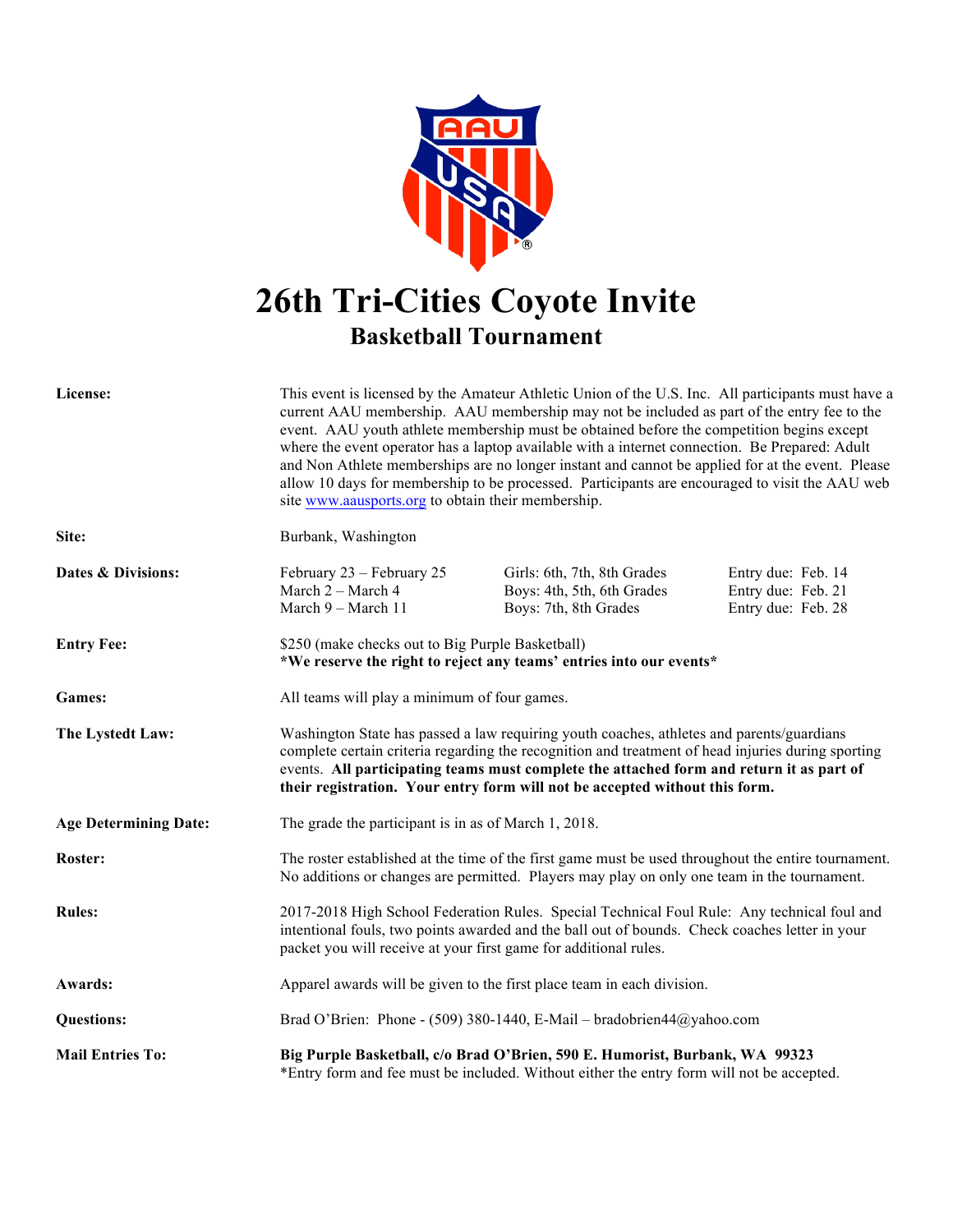

## **26th Tri-Cities Coyote Invite Basketball Tournament**

| License:                     | This event is licensed by the Amateur Athletic Union of the U.S. Inc. All participants must have a<br>current AAU membership. AAU membership may not be included as part of the entry fee to the<br>event. AAU youth athlete membership must be obtained before the competition begins except<br>where the event operator has a laptop available with a internet connection. Be Prepared: Adult<br>and Non Athlete memberships are no longer instant and cannot be applied for at the event. Please<br>allow 10 days for membership to be processed. Participants are encouraged to visit the AAU web<br>site www.aausports.org to obtain their membership. |                                                                                    |                                                                |  |  |
|------------------------------|-------------------------------------------------------------------------------------------------------------------------------------------------------------------------------------------------------------------------------------------------------------------------------------------------------------------------------------------------------------------------------------------------------------------------------------------------------------------------------------------------------------------------------------------------------------------------------------------------------------------------------------------------------------|------------------------------------------------------------------------------------|----------------------------------------------------------------|--|--|
| Site:                        | Burbank, Washington                                                                                                                                                                                                                                                                                                                                                                                                                                                                                                                                                                                                                                         |                                                                                    |                                                                |  |  |
| Dates & Divisions:           | February 23 – February 25<br>March 2 - March 4<br>March 9 - March 11                                                                                                                                                                                                                                                                                                                                                                                                                                                                                                                                                                                        | Girls: 6th, 7th, 8th Grades<br>Boys: 4th, 5th, 6th Grades<br>Boys: 7th, 8th Grades | Entry due: Feb. 14<br>Entry due: Feb. 21<br>Entry due: Feb. 28 |  |  |
| <b>Entry Fee:</b>            | \$250 (make checks out to Big Purple Basketball)<br>*We reserve the right to reject any teams' entries into our events*                                                                                                                                                                                                                                                                                                                                                                                                                                                                                                                                     |                                                                                    |                                                                |  |  |
| <b>Games:</b>                | All teams will play a minimum of four games.                                                                                                                                                                                                                                                                                                                                                                                                                                                                                                                                                                                                                |                                                                                    |                                                                |  |  |
| The Lystedt Law:             | Washington State has passed a law requiring youth coaches, athletes and parents/guardians<br>complete certain criteria regarding the recognition and treatment of head injuries during sporting<br>events. All participating teams must complete the attached form and return it as part of<br>their registration. Your entry form will not be accepted without this form.                                                                                                                                                                                                                                                                                  |                                                                                    |                                                                |  |  |
| <b>Age Determining Date:</b> | The grade the participant is in as of March 1, 2018.                                                                                                                                                                                                                                                                                                                                                                                                                                                                                                                                                                                                        |                                                                                    |                                                                |  |  |
| <b>Roster:</b>               | The roster established at the time of the first game must be used throughout the entire tournament.<br>No additions or changes are permitted. Players may play on only one team in the tournament.                                                                                                                                                                                                                                                                                                                                                                                                                                                          |                                                                                    |                                                                |  |  |
| <b>Rules:</b>                | 2017-2018 High School Federation Rules. Special Technical Foul Rule: Any technical foul and<br>intentional fouls, two points awarded and the ball out of bounds. Check coaches letter in your<br>packet you will receive at your first game for additional rules.                                                                                                                                                                                                                                                                                                                                                                                           |                                                                                    |                                                                |  |  |
| Awards:                      | Apparel awards will be given to the first place team in each division.                                                                                                                                                                                                                                                                                                                                                                                                                                                                                                                                                                                      |                                                                                    |                                                                |  |  |
| <b>Questions:</b>            | Brad O'Brien: Phone - (509) 380-1440, E-Mail – bradobrien44@yahoo.com                                                                                                                                                                                                                                                                                                                                                                                                                                                                                                                                                                                       |                                                                                    |                                                                |  |  |
| <b>Mail Entries To:</b>      | Big Purple Basketball, c/o Brad O'Brien, 590 E. Humorist, Burbank, WA 99323<br>*Entry form and fee must be included. Without either the entry form will not be accepted.                                                                                                                                                                                                                                                                                                                                                                                                                                                                                    |                                                                                    |                                                                |  |  |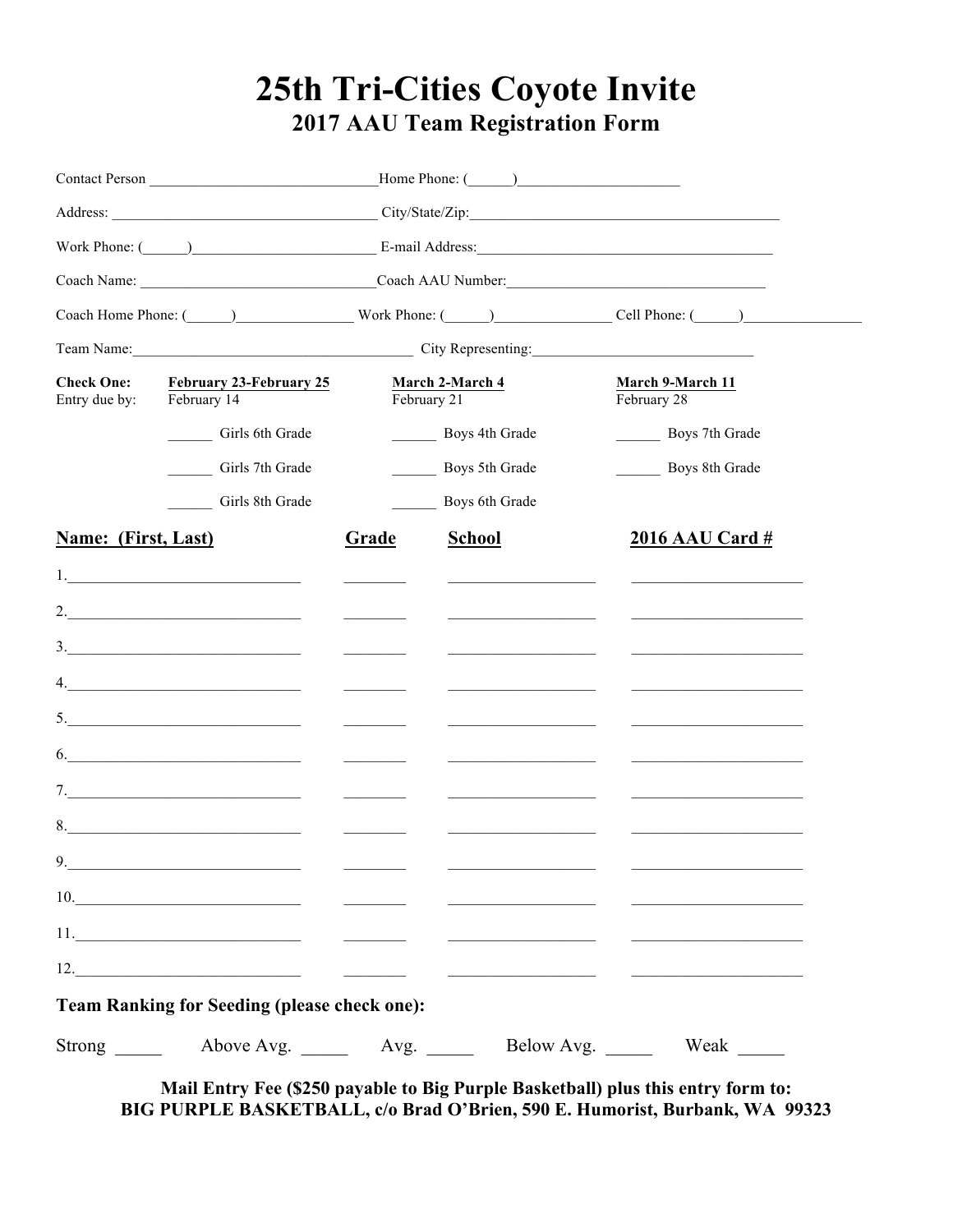## 25th Tri-Cities Coyote Invite 2017 AAU Team Registration Form

|                                                                                     | Work Phone: (Champion Communication Communication Communication Communication Communication Communication Communication Communication Communication Communication Communication Communication Communication Communication Comm |                                                                                                                                   |                                                                                                                                                                                                                                      |                                                                                                                                                                                                                                      |  |
|-------------------------------------------------------------------------------------|--------------------------------------------------------------------------------------------------------------------------------------------------------------------------------------------------------------------------------|-----------------------------------------------------------------------------------------------------------------------------------|--------------------------------------------------------------------------------------------------------------------------------------------------------------------------------------------------------------------------------------|--------------------------------------------------------------------------------------------------------------------------------------------------------------------------------------------------------------------------------------|--|
|                                                                                     | Coach Name: Coach AAU Number:                                                                                                                                                                                                  |                                                                                                                                   |                                                                                                                                                                                                                                      |                                                                                                                                                                                                                                      |  |
|                                                                                     |                                                                                                                                                                                                                                |                                                                                                                                   |                                                                                                                                                                                                                                      | Coach Home Phone: (Case of Phone: Work Phone: (Case of Phone: (Case of Phone: (Case of Phone: (Case of Phone: (Case of Phone: (Case of Phone: (Case of Phone: (Case of Phone: (Case of Phone: (Case of Phone: (Case of Phone:        |  |
|                                                                                     | Team Name: City Representing: City Representing:                                                                                                                                                                               |                                                                                                                                   |                                                                                                                                                                                                                                      |                                                                                                                                                                                                                                      |  |
| <b>Check One:</b><br><b>February 23-February 25</b><br>February 14<br>Entry due by: |                                                                                                                                                                                                                                | February 21                                                                                                                       | March 2-March 4                                                                                                                                                                                                                      | March 9-March 11<br>February 28                                                                                                                                                                                                      |  |
|                                                                                     | Girls 6th Grade                                                                                                                                                                                                                |                                                                                                                                   | Boys 4th Grade                                                                                                                                                                                                                       | Boys 7th Grade                                                                                                                                                                                                                       |  |
|                                                                                     | Girls 7th Grade                                                                                                                                                                                                                |                                                                                                                                   | Boys 5th Grade                                                                                                                                                                                                                       | Boys 8th Grade                                                                                                                                                                                                                       |  |
|                                                                                     | Girls 8th Grade                                                                                                                                                                                                                |                                                                                                                                   | <b>Boys 6th Grade</b>                                                                                                                                                                                                                |                                                                                                                                                                                                                                      |  |
| Name: (First, Last)                                                                 |                                                                                                                                                                                                                                | Grade                                                                                                                             | <b>School</b>                                                                                                                                                                                                                        | 2016 AAU Card #                                                                                                                                                                                                                      |  |
|                                                                                     |                                                                                                                                                                                                                                | $\frac{1}{2} \left( \frac{1}{2} \right)^2 \left( \frac{1}{2} \right)^2 \left( \frac{1}{2} \right)^2 \left( \frac{1}{2} \right)^2$ | <u> De Carlos de Carlos de Carlos de Carlos de Carlos de Carlos de Carlos de Carlos de Carlos de Carlos de Carlos d</u>                                                                                                              | <u>and the state of the state of the state of the state of the state of the state of the state of the state of the state of the state of the state of the state of the state of the state of the state of the state of the state</u> |  |
|                                                                                     | 2. $\qquad \qquad$                                                                                                                                                                                                             |                                                                                                                                   | <u>and the state of the state of the state of the state of the state of the state of the state of the state of the state of the state of the state of the state of the state of the state of the state of the state of the state</u> | <u> Alexandria de la contrada de la contrada de la contrada de la contrada de la contrada de la contrada de la c</u>                                                                                                                 |  |
|                                                                                     | 3.                                                                                                                                                                                                                             |                                                                                                                                   | <u> Alexandria (Carlos Carlos Carlos Carlos Carlos Carlos Carlos Carlos Carlos Carlos Carlos Carlos Carlos Carlos Carlos Carlos Carlos Carlos Carlos Carlos Carlos Carlos Carlos Carlos Carlos Carlos Carlos Carlos Carlos Carlo</u> | <u> Alexandria de la contrada de la contrada de la contrada de la contrada de la contrada de la contrada de la c</u>                                                                                                                 |  |
|                                                                                     |                                                                                                                                                                                                                                |                                                                                                                                   |                                                                                                                                                                                                                                      |                                                                                                                                                                                                                                      |  |
|                                                                                     | 5. $\qquad \qquad$                                                                                                                                                                                                             |                                                                                                                                   | <u> De Barbara (1995)</u><br>De Barbara (1995)<br>De Barbara (1995)                                                                                                                                                                  |                                                                                                                                                                                                                                      |  |
|                                                                                     | $\vdots$ $\qquad \qquad$                                                                                                                                                                                                       |                                                                                                                                   |                                                                                                                                                                                                                                      |                                                                                                                                                                                                                                      |  |
|                                                                                     |                                                                                                                                                                                                                                |                                                                                                                                   | <u> 1989 - John Harry Harry Harry Harry Harry Harry Harry Harry Harry Harry Harry Harry Harry Harry Harry Harry Harry Harry Harry Harry Harry Harry Harry Harry Harry Harry Harry Harry Harry Harry Harry Harry Harry Harry Harr</u> |                                                                                                                                                                                                                                      |  |
|                                                                                     |                                                                                                                                                                                                                                | <u>and the state of the state</u>                                                                                                 | <u> 1989 - Andrea State Barbara, política especial de la propia de la propia de la propia de la propia de la pro</u>                                                                                                                 |                                                                                                                                                                                                                                      |  |
| 9                                                                                   |                                                                                                                                                                                                                                |                                                                                                                                   |                                                                                                                                                                                                                                      |                                                                                                                                                                                                                                      |  |
|                                                                                     | 10.                                                                                                                                                                                                                            |                                                                                                                                   |                                                                                                                                                                                                                                      |                                                                                                                                                                                                                                      |  |
|                                                                                     |                                                                                                                                                                                                                                |                                                                                                                                   |                                                                                                                                                                                                                                      |                                                                                                                                                                                                                                      |  |
|                                                                                     | $12.$                                                                                                                                                                                                                          |                                                                                                                                   |                                                                                                                                                                                                                                      |                                                                                                                                                                                                                                      |  |
|                                                                                     | <b>Team Ranking for Seeding (please check one):</b>                                                                                                                                                                            |                                                                                                                                   |                                                                                                                                                                                                                                      |                                                                                                                                                                                                                                      |  |
| $Strong \_\_$                                                                       |                                                                                                                                                                                                                                |                                                                                                                                   |                                                                                                                                                                                                                                      | Weak $\_\_$                                                                                                                                                                                                                          |  |

Mail Entry Fee (\$250 payable to Big Purple Basketball) plus this entry form to: BIG PURPLE BASKETBALL, c/o Brad O'Brien, 590 E. Humorist, Burbank, WA 99323